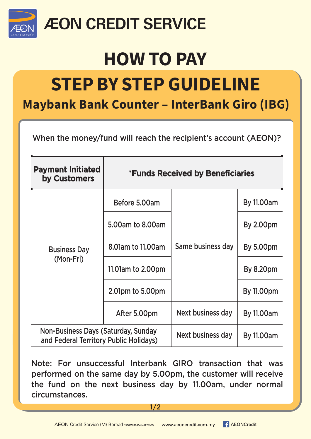

### **ÆON CREDIT SERVICE**

## **HOW TO PAY**

# **STEP BY STEP GUIDELINE**

#### **Maybank Bank Counter - InterBank Giro (IBG)**

When the money/fund will reach the recipient's account (AEON)?

| <b>Payment Initiated</b><br>by Customers                                      | <b>*Funds Received by Beneficiaries</b> |                   |                   |
|-------------------------------------------------------------------------------|-----------------------------------------|-------------------|-------------------|
| <b>Business Day</b><br>(Mon-Fri)                                              | Before 5.00am                           | Same business day | <b>By 11.00am</b> |
|                                                                               | 5.00am to 8.00am                        |                   | <b>By 2.00pm</b>  |
|                                                                               | 8.01am to 11.00am                       |                   | <b>By 5.00pm</b>  |
|                                                                               | 11.01 am to 2.00pm                      |                   | <b>By 8.20pm</b>  |
|                                                                               | 2.01pm to 5.00pm                        |                   | <b>By 11.00pm</b> |
|                                                                               | After 5.00pm                            | Next business day | <b>By 11.00am</b> |
| Non-Business Days (Saturday, Sunday<br>and Federal Territory Public Holidays) |                                         | Next business day | <b>By 11.00am</b> |

Note: For unsuccessful Interbank GIRO transaction that was performed on the same day by 5.00pm, the customer will receive the fund on the next business day by 11.00am, under normal circumstances.

 $1/2$